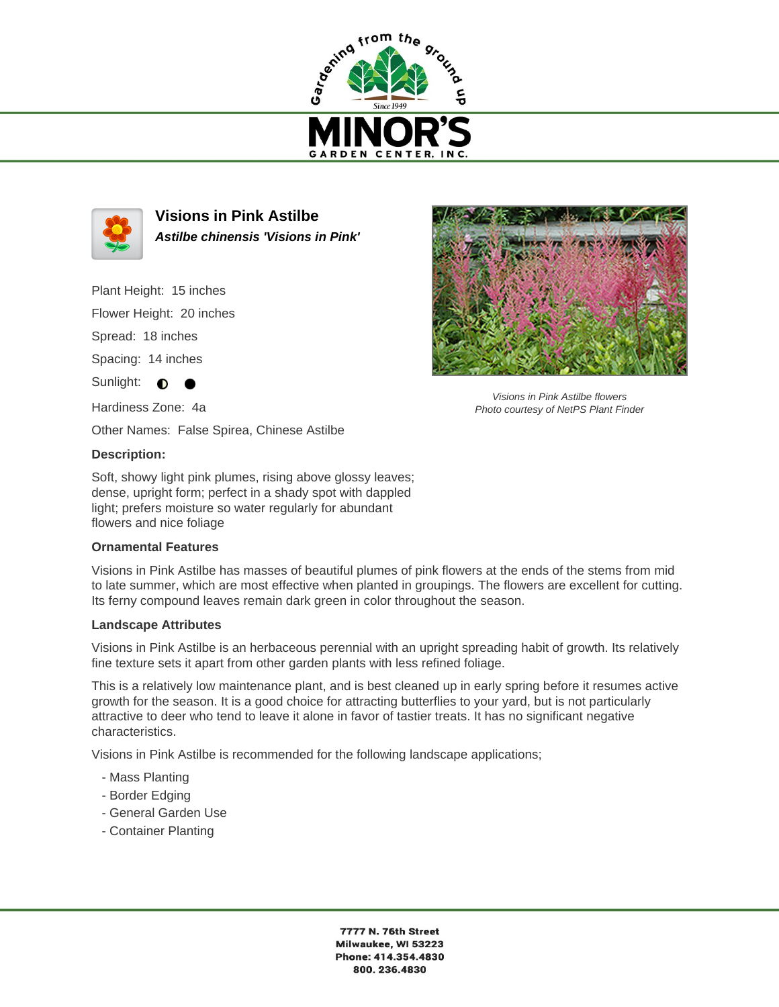



**Visions in Pink Astilbe Astilbe chinensis 'Visions in Pink'**

Plant Height: 15 inches

Flower Height: 20 inches

Spread: 18 inches

Spacing: 14 inches

Sunlight:  $\bigcirc$ 

Hardiness Zone: 4a

Other Names: False Spirea, Chinese Astilbe

## **Description:**

Soft, showy light pink plumes, rising above glossy leaves; dense, upright form; perfect in a shady spot with dappled light; prefers moisture so water regularly for abundant flowers and nice foliage

## **Ornamental Features**

Visions in Pink Astilbe has masses of beautiful plumes of pink flowers at the ends of the stems from mid to late summer, which are most effective when planted in groupings. The flowers are excellent for cutting. Its ferny compound leaves remain dark green in color throughout the season.

## **Landscape Attributes**

Visions in Pink Astilbe is an herbaceous perennial with an upright spreading habit of growth. Its relatively fine texture sets it apart from other garden plants with less refined foliage.

This is a relatively low maintenance plant, and is best cleaned up in early spring before it resumes active growth for the season. It is a good choice for attracting butterflies to your yard, but is not particularly attractive to deer who tend to leave it alone in favor of tastier treats. It has no significant negative characteristics.

Visions in Pink Astilbe is recommended for the following landscape applications;

- Mass Planting
- Border Edging
- General Garden Use
- Container Planting



Visions in Pink Astilbe flowers Photo courtesy of NetPS Plant Finder

7777 N. 76th Street Milwaukee, WI 53223 Phone: 414.354.4830 800.236.4830